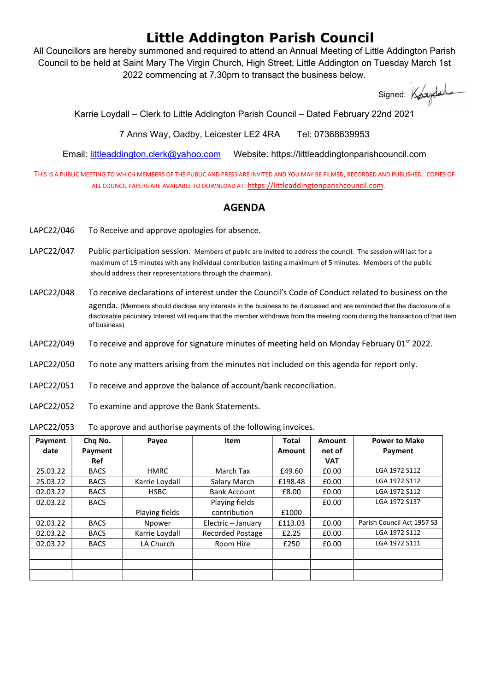## Little Addington Parish Council

All Councillors are hereby summoned and required to attend an Annual Meeting of Little Addington Parish Council to be held at Saint Mary The Virgin Church, High Street, Little Addington on Tuesday March 1st 2022 commencing at 7.30pm to transact the business below.

Signed: Kogydads

Karrie Loydall – Clerk to Little Addington Parish Council – Dated February 22nd 2021

7 Anns Way, Oadby, Leicester LE2 4RA Tel: 07368639953

Email: littleaddington.clerk@yahoo.com Website: https://littleaddingtonparishcouncil.com

THIS IS A PUBLIC MEETING TO WHICH MEMBERS OF THE PUBLIC AND PRESS ARE INVITED AND YOU MAY BE FILMED, RECORDED AND PUBLISHED. COPIES OF ALL COUNCIL PAPERS ARE AVAILABLE TO DOWNLOAD AT: https://littleaddingtonparishcouncil.com.

## AGENDA

- LAPC22/046 To Receive and approve apologies for absence.
- LAPC22/047 Public participation session. Members of public are invited to address the council. The session will last for a maximum of 15 minutes with any individual contribution lasting a maximum of 5 minutes. Members of the public should address their representations through the chairman).
- LAPC22/048 To receive declarations of interest under the Council's Code of Conduct related to business on the agenda. (Members should disclose any interests in the business to be discussed and are reminded that the disclosure of a disclosable pecuniary Interest will require that the member withdraws from the meeting room during the transaction of that item of business).
- LAPC22/049 To receive and approve for signature minutes of meeting held on Monday February 01<sup>st</sup> 2022.
- LAPC22/050 To note any matters arising from the minutes not included on this agenda for report only.
- LAPC22/051 To receive and approve the balance of account/bank reconciliation.
- LAPC22/052 To examine and approve the Bank Statements.

| Payment  | Cha No.     | Payee          | <b>Item</b>         | <b>Total</b> | Amount     | <b>Power to Make</b>       |
|----------|-------------|----------------|---------------------|--------------|------------|----------------------------|
| date     | Payment     |                |                     | Amount       | net of     | Payment                    |
|          | <b>Ref</b>  |                |                     |              | <b>VAT</b> |                            |
| 25.03.22 | <b>BACS</b> | <b>HMRC</b>    | March Tax           | £49.60       | £0.00      | LGA 1972 S112              |
| 25.03.22 | <b>BACS</b> | Karrie Loydall | Salary March        | £198.48      | £0.00      | LGA 1972 S112              |
| 02.03.22 | <b>BACS</b> | <b>HSBC</b>    | <b>Bank Account</b> | £8.00        | £0.00      | LGA 1972 S112              |
| 02.03.22 | <b>BACS</b> |                | Playing fields      |              | £0.00      | LGA 1972 S137              |
|          |             | Playing fields | contribution        | £1000        |            |                            |
| 02.03.22 | <b>BACS</b> | Npower         | Electric - January  | £113.03      | £0.00      | Parish Council Act 1957 S3 |
| 02.03.22 | <b>BACS</b> | Karrie Loydall | Recorded Postage    | £2.25        | £0.00      | LGA 1972 S112              |
| 02.03.22 | <b>BACS</b> | LA Church      | Room Hire           | £250         | £0.00      | LGA 1972 S111              |
|          |             |                |                     |              |            |                            |
|          |             |                |                     |              |            |                            |
|          |             |                |                     |              |            |                            |